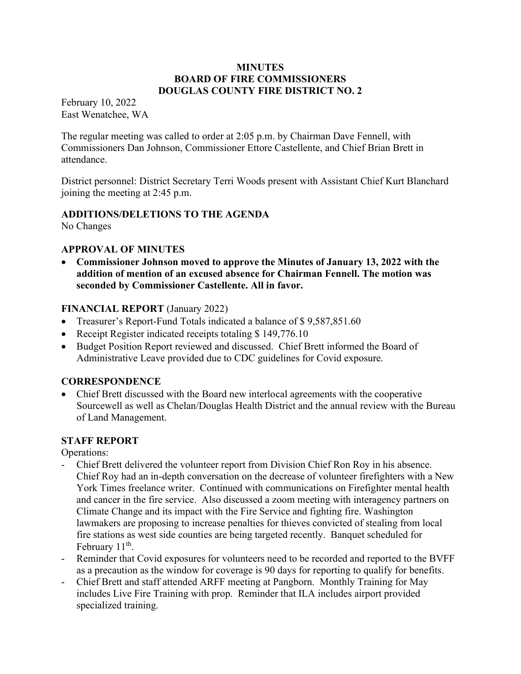#### **MINUTES** BOARD OF FIRE COMMISSIONERS DOUGLAS COUNTY FIRE DISTRICT NO. 2

February 10, 2022 East Wenatchee, WA

The regular meeting was called to order at 2:05 p.m. by Chairman Dave Fennell, with Commissioners Dan Johnson, Commissioner Ettore Castellente, and Chief Brian Brett in attendance.

District personnel: District Secretary Terri Woods present with Assistant Chief Kurt Blanchard joining the meeting at 2:45 p.m.

# ADDITIONS/DELETIONS TO THE AGENDA

No Changes

# APPROVAL OF MINUTES

 Commissioner Johnson moved to approve the Minutes of January 13, 2022 with the addition of mention of an excused absence for Chairman Fennell. The motion was seconded by Commissioner Castellente. All in favor.

# FINANCIAL REPORT (January 2022)

- Treasurer's Report-Fund Totals indicated a balance of \$9,587,851.60
- Receipt Register indicated receipts totaling \$149,776.10
- Budget Position Report reviewed and discussed. Chief Brett informed the Board of Administrative Leave provided due to CDC guidelines for Covid exposure.

### **CORRESPONDENCE**

 Chief Brett discussed with the Board new interlocal agreements with the cooperative Sourcewell as well as Chelan/Douglas Health District and the annual review with the Bureau of Land Management.

### STAFF REPORT

Operations:

- Chief Brett delivered the volunteer report from Division Chief Ron Roy in his absence. Chief Roy had an in-depth conversation on the decrease of volunteer firefighters with a New York Times freelance writer. Continued with communications on Firefighter mental health and cancer in the fire service. Also discussed a zoom meeting with interagency partners on Climate Change and its impact with the Fire Service and fighting fire. Washington lawmakers are proposing to increase penalties for thieves convicted of stealing from local fire stations as west side counties are being targeted recently. Banquet scheduled for February 11<sup>th</sup>.
- Reminder that Covid exposures for volunteers need to be recorded and reported to the BVFF as a precaution as the window for coverage is 90 days for reporting to qualify for benefits.
- Chief Brett and staff attended ARFF meeting at Pangborn. Monthly Training for May includes Live Fire Training with prop. Reminder that ILA includes airport provided specialized training.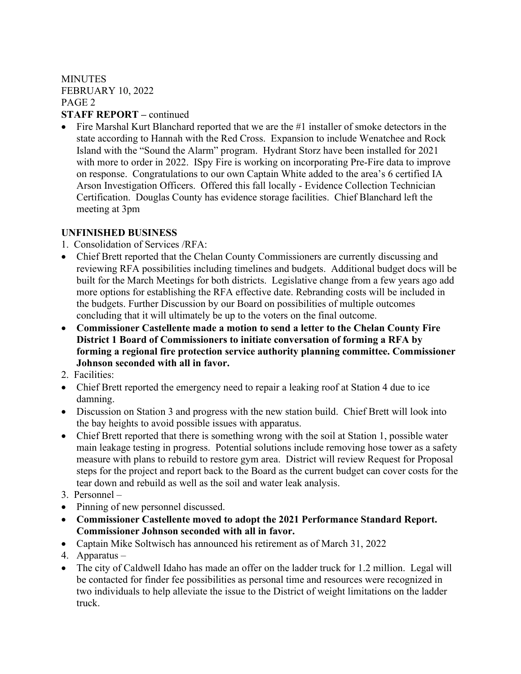# **MINUTES** FEBRUARY 10, 2022 PAGE 2

# STAFF REPORT – continued

 Fire Marshal Kurt Blanchard reported that we are the #1 installer of smoke detectors in the state according to Hannah with the Red Cross. Expansion to include Wenatchee and Rock Island with the "Sound the Alarm" program. Hydrant Storz have been installed for 2021 with more to order in 2022. ISpy Fire is working on incorporating Pre-Fire data to improve on response. Congratulations to our own Captain White added to the area's 6 certified IA Arson Investigation Officers. Offered this fall locally - Evidence Collection Technician Certification. Douglas County has evidence storage facilities. Chief Blanchard left the meeting at 3pm

# UNFINISHED BUSINESS

- 1. Consolidation of Services /RFA:
- Chief Brett reported that the Chelan County Commissioners are currently discussing and reviewing RFA possibilities including timelines and budgets. Additional budget docs will be built for the March Meetings for both districts. Legislative change from a few years ago add more options for establishing the RFA effective date. Rebranding costs will be included in the budgets. Further Discussion by our Board on possibilities of multiple outcomes concluding that it will ultimately be up to the voters on the final outcome.
- Commissioner Castellente made a motion to send a letter to the Chelan County Fire District 1 Board of Commissioners to initiate conversation of forming a RFA by forming a regional fire protection service authority planning committee. Commissioner Johnson seconded with all in favor.
- 2. Facilities:
- Chief Brett reported the emergency need to repair a leaking roof at Station 4 due to ice damning.
- Discussion on Station 3 and progress with the new station build. Chief Brett will look into the bay heights to avoid possible issues with apparatus.
- Chief Brett reported that there is something wrong with the soil at Station 1, possible water main leakage testing in progress. Potential solutions include removing hose tower as a safety measure with plans to rebuild to restore gym area. District will review Request for Proposal steps for the project and report back to the Board as the current budget can cover costs for the tear down and rebuild as well as the soil and water leak analysis.
- 3. Personnel –
- Pinning of new personnel discussed.
- Commissioner Castellente moved to adopt the 2021 Performance Standard Report. Commissioner Johnson seconded with all in favor.
- Captain Mike Soltwisch has announced his retirement as of March 31, 2022
- 4. Apparatus –
- The city of Caldwell Idaho has made an offer on the ladder truck for 1.2 million. Legal will be contacted for finder fee possibilities as personal time and resources were recognized in two individuals to help alleviate the issue to the District of weight limitations on the ladder truck.